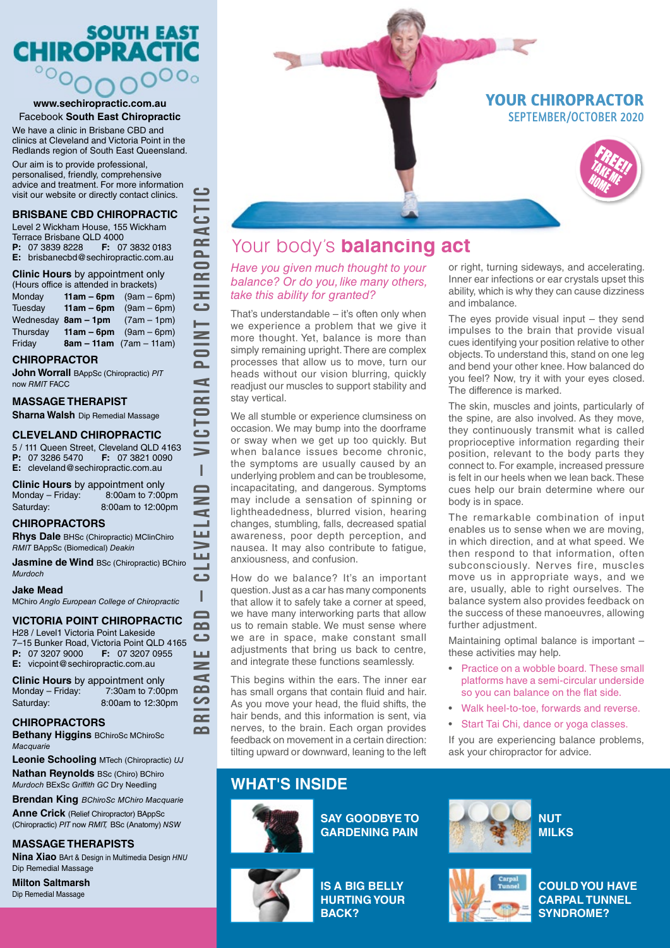# **SOUTH EAST CHIROPRACT**  $\overline{O_0}$

#### **www.sechiropractic.com.au** Facebook **South East Chiropractic**

We have a clinic in Brisbane CBD and clinics at Cleveland and Victoria Point in the Redlands region of South East Queensland. Our aim is to provide professional, personalised, friendly, comprehensive advice and treatment. For more information visit our website or directly contact clinics.

### **BRISBANE CBD CHIROPRACTIC**

Level 2 Wickham House, 155 Wickham Terrace Brisbane QLD 4000<br>**P**: 07 3839 8228 **F:** 07 3832 0183 **P:** 07 3839 8228 **E:** brisbanecbd@sechiropractic.com.au

### **Clinic Hours** by appointment only

(Hours office is attended in brackets) Monday **11am – 6pm** (9am – 6pm) Tuesday **11am – 6pm** (9am – 6pm)<br>Wednesday 8am – 1pm (7am – 1pm) Wednesday 8am – 1pm Thursday **11am – 6pm** (9am – 6pm) Friday **8am – 11am** (7am – 11am)

### **CHIROPRACTOR**

**John Worrall** BAppSc (Chiropractic) *PIT* now *RMIT* FACC

### **MASSAGE THERAPIST**

**Sharna Walsh** Dip Remedial Massage

### **CLEVELAND CHIROPRACTIC**

5 / 111 Queen Street, Cleveland QLD 4163<br>**P:** 07 3286 5470 **F:** 07 3821 0090 **F:** 07 3821 0090 **E:** cleveland@sechiropractic.com.au

**BRISBANE CBD – CLEVELAND – VICTORIA POINT CHIROPRACTIC**

Ï  $\blacksquare$  $\geq$ c  $\sim$  1 Щ — Щ  $\sim$  1 د I  $\blacksquare$  $\Omega$  $\Rightarrow$ Щ  $\geq$  $\mathbf{r}$  $\Omega$ တ  $\sim$  $\Omega$ 

دےً

د

دے đ  $\sim$  $\overline{\mathbf{a}}$  $\blacksquare$  $\bar{=}$ **UHO** 

 $\overline{z}$  $\equiv$  $\bar{\mathbf{a}}$ Þ  $\overline{\mathbf{r}}$ 

**Clinic Hours** by appointment only Monday – Friday: 8:00am to 7:00pm Saturday: 8:00am to 12:00pm

### **CHIROPRACTORS**

**Rhys Dale** BHSc (Chiropractic) MClinChiro *RMIT* BAppSc (Biomedical) *Deakin*

**Jasmine de Wind BSc (Chiropractic) BChiro** *Murdoch*

### **Jake Mead**

MChiro *Anglo European College of Chiropractic*

## **VICTORIA POINT CHIROPRACTIC**

H28 / Level1 Victoria Point Lakeside 7–15 Bunker Road, Victoria Point QLD 4165 **P:** 07 3207 9000 **F:** 07 3207 0955 **E:** vicpoint@sechiropractic.com.au

**Clinic Hours** by appointment only Monday – Friday: 7:30am to 7:00pm Saturday: 8:00am to 12:30pm

## **CHIROPRACTORS**

**Bethany Higgins** BChiroSc MChiroSc *Macquarie*

**Leonie Schooling** MTech (Chiropractic) *UJ*

**Nathan Reynolds** BSc (Chiro) BChiro *Murdoch* BExSc *Griffith GC* Dry Needling

**Brendan King** *BChiroSc MChiro Macquarie*

**Anne Crick** (Relief Chiropractor) BAppSc (Chiropractic) *PIT* now *RMIT,* BSc (Anatomy) *NSW*

## **MASSAGE THERAPISTS**

**Nina Xiao** BArt & Design in Multimedia Design *HNU* Dip Remedial Massage

**Milton Saltmarsh**  Dip Remedial Massage





## Your body's **balancing act**

### *Have you given much thought to your balance? Or do you, like many others, take this ability for granted?*

That's understandable – it's often only when we experience a problem that we give it more thought. Yet, balance is more than simply remaining upright. There are complex processes that allow us to move, turn our heads without our vision blurring, quickly readjust our muscles to support stability and stay vertical.

We all stumble or experience clumsiness on occasion. We may bump into the doorframe or sway when we get up too quickly. But when balance issues become chronic. the symptoms are usually caused by an underlying problem and can be troublesome, incapacitating, and dangerous. Symptoms may include a sensation of spinning or lightheadedness, blurred vision, hearing changes, stumbling, falls, decreased spatial awareness, poor depth perception, and nausea. It may also contribute to fatigue, anxiousness, and confusion.

How do we balance? It's an important question. Just as a car has many components that allow it to safely take a corner at speed, we have many interworking parts that allow us to remain stable. We must sense where we are in space, make constant small adjustments that bring us back to centre, and integrate these functions seamlessly.

This begins within the ears. The inner ear has small organs that contain fluid and hair. As you move your head, the fluid shifts, the hair bends, and this information is sent, via nerves, to the brain. Each organ provides feedback on movement in a certain direction: tilting upward or downward, leaning to the left

## **WHAT'S INSIDE**



**SAY GOODBYE TO GARDENING PAIN**



or right, turning sideways, and accelerating. Inner ear infections or ear crystals upset this ability, which is why they can cause dizziness and imbalance.

The eyes provide visual input  $-$  they send impulses to the brain that provide visual cues identifying your position relative to other objects. To understand this, stand on one leg and bend your other knee. How balanced do you feel? Now, try it with your eyes closed. The difference is marked.

The skin, muscles and joints, particularly of the spine, are also involved. As they move, they continuously transmit what is called proprioceptive information regarding their position, relevant to the body parts they connect to. For example, increased pressure is felt in our heels when we lean back. These cues help our brain determine where our body is in space.

The remarkable combination of input enables us to sense when we are moving, in which direction, and at what speed. We then respond to that information, often subconsciously. Nerves fire, muscles move us in appropriate ways, and we are, usually, able to right ourselves. The balance system also provides feedback on the success of these manoeuvres, allowing further adjustment.

Maintaining optimal balance is important – these activities may help.

- Practice on a wobble board. These small platforms have a semi-circular underside so you can balance on the flat side.
- Walk heel-to-toe, forwards and reverse.
- Start Tai Chi, dance or yoga classes.

If you are experiencing balance problems, ask your chiropractor for advice.





**COULD YOU HAVE CARPAL TUNNEL SYNDROME?**

**IS A BIG BELLY HURTING YOUR**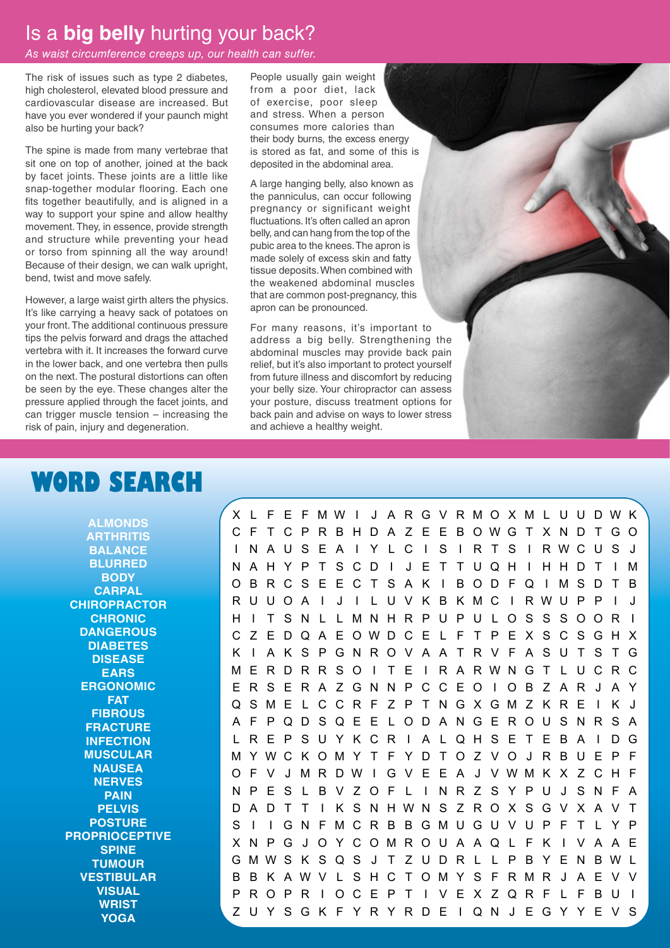## Is a **big belly** hurting your back?

### *As waist circumference creeps up, our health can suffer.*

The risk of issues such as type 2 diabetes, high cholesterol, elevated blood pressure and cardiovascular disease are increased. But have you ever wondered if your paunch might also be hurting your back?

The spine is made from many vertebrae that sit one on top of another, joined at the back by facet joints. These joints are a little like snap-together modular flooring. Each one fits together beautifully, and is aligned in a way to support your spine and allow healthy movement. They, in essence, provide strength and structure while preventing your head or torso from spinning all the way around! Because of their design, we can walk upright, bend, twist and move safely.

However, a large waist girth alters the physics. It's like carrying a heavy sack of potatoes on your front. The additional continuous pressure tips the pelvis forward and drags the attached vertebra with it. It increases the forward curve in the lower back, and one vertebra then pulls on the next. The postural distortions can often be seen by the eye. These changes alter the pressure applied through the facet joints, and can trigger muscle tension – increasing the risk of pain, injury and degeneration.

People usually gain weight from a poor diet, lack of exercise, poor sleep and stress. When a person consumes more calories than their body burns, the excess energy is stored as fat, and some of this is deposited in the abdominal area.

A large hanging belly, also known as the panniculus, can occur following pregnancy or significant weight fluctuations. It's often called an apron belly, and can hang from the top of the pubic area to the knees. The apron is made solely of excess skin and fatty tissue deposits. When combined with the weakened abdominal muscles that are common post-pregnancy, this apron can be pronounced.

For many reasons, it's important to address a big belly. Strengthening the abdominal muscles may provide back pain relief, but it's also important to protect yourself from future illness and discomfort by reducing your belly size. Your chiropractor can assess your posture, discuss treatment options for back pain and advise on ways to lower stress and achieve a healthy weight.

# **WORD SEARCH**

**ALMONDS ARTHRITIS BALANCE BLURRED BODY CARPAL CHIROPRACTOR CHRONIC DANGEROUS DIABETES DISEASE EARS ERGONOMIC FAT FIBROUS FRACTURE INFECTION MUSCULAR NAUSEA NERVES PAIN PELVIS POSTURE PROPRIOCEPTIVE SPINE TUMOUR VESTIBULAR VISUAL WRIST YOGA**

X L F E F MW I J A R G V RMO XM L U U DWK C F T C P R B H D A Z E E B OWG T X N D T GO I N A U S E A I Y L C I S I R T S I RWCU S J NAHYPTSCD I J ET TUQH I HHDT I M OBRCSEECTSAK I BODFQ I MSDTB RUUOA I J I L U V K B KMC I RWU P P I J H I T SN L LMNHRPUPU LOSSSOOR I C Z E DQ A E OWD C E L F T P E X S C S GH X K I AKSPGNROVAATRVFASUTSTG ME RDRR SO I T E I R A RWNG T L UCRC ERSERAZGNNPCCEO I OBZAR J AY QSME L CCR F Z P T NGXGMZ KRE I K J AFPQDSQEE LODANGEROUSNRSA LREPSUYKCR I A LQHSETEBA I DG MYWC KOMY T F Y D T O Z VO J R B U E P F O F V J MR DW I G V E E A J VWM K X Z C H F NPES LBVZOF L I NRZSYPU J SNFA D A D T T I K S NHWN S Z ROX SGV X A V T S I I GN FMCRB BGMUGUVUP F T L Y P XNPG J OYCOMROUA AQ L F K I V A A E GMWS K S Q S J T Z U D R L L P B Y E N BW L B B K AWV L SHC TOMY S F RMR J A E V V PROPR I OCEPT I VEXZQRF L FBU I ZUYSGKFYRYRDE I QN J EGYYEVS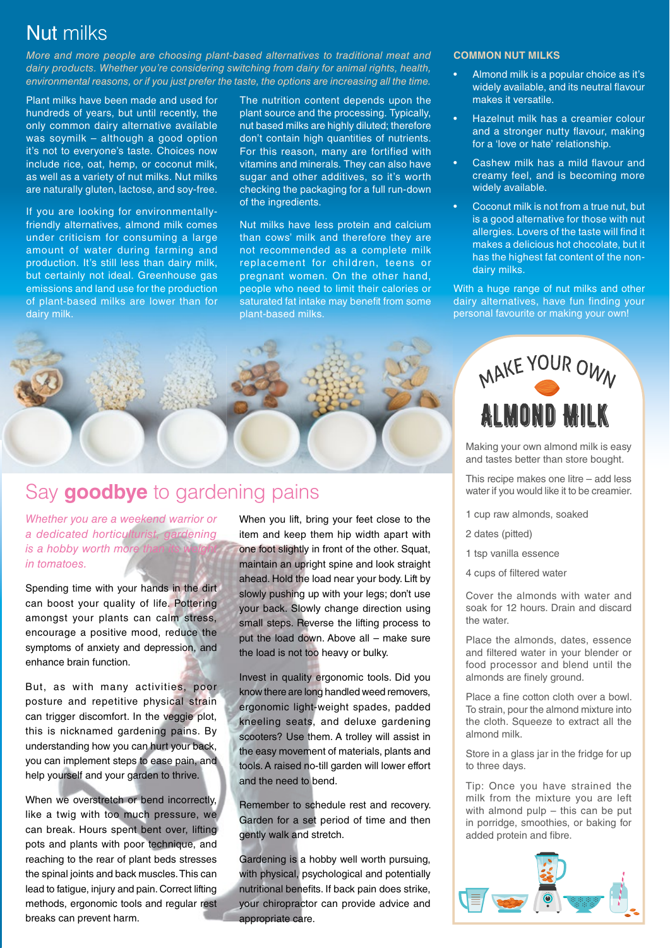# Nut milks

*More and more people are choosing plant-based alternatives to traditional meat and dairy products. Whether you're considering switching from dairy for animal rights, health, environmental reasons, or if you just prefer the taste, the options are increasing all the time.*

Plant milks have been made and used for hundreds of years, but until recently, the only common dairy alternative available was soymilk – although a good option it's not to everyone's taste. Choices now include rice, oat, hemp, or coconut milk, as well as a variety of nut milks. Nut milks are naturally gluten, lactose, and soy-free.

If you are looking for environmentallyfriendly alternatives, almond milk comes under criticism for consuming a large amount of water during farming and production. It's still less than dairy milk, but certainly not ideal. Greenhouse gas emissions and land use for the production of plant-based milks are lower than for dairy milk.

The nutrition content depends upon the plant source and the processing. Typically, nut based milks are highly diluted; therefore don't contain high quantities of nutrients. For this reason, many are fortified with vitamins and minerals. They can also have sugar and other additives, so it's worth checking the packaging for a full run-down of the ingredients.

Nut milks have less protein and calcium than cows' milk and therefore they are not recommended as a complete milk replacement for children, teens or pregnant women. On the other hand, people who need to limit their calories or saturated fat intake may benefit from some plant-based milks.

### **COMMON NUT MILKS**

- Almond milk is a popular choice as it's widely available, and its neutral flavour makes it versatile.
- Hazelnut milk has a creamier colour and a stronger nutty flavour, making for a 'love or hate' relationship.
- Cashew milk has a mild flavour and creamy feel, and is becoming more widely available.
- Coconut milk is not from a true nut, but is a good alternative for those with nut allergies. Lovers of the taste will find it makes a delicious hot chocolate, but it has the highest fat content of the nondairy milks.

With a huge range of nut milks and other dairy alternatives, have fun finding your personal favourite or making your own!



# Say **goodbye** to gardening pains

*Whether you are a weekend warrior or a dedicated horticulturist, gardening is a hobby worth more in tomatoes.*

Spending time with your hands in the dirt can boost your quality of life. Pottering amongst your plants can calm stress, encourage a positive mood, reduce the symptoms of anxiety and depression, and enhance brain function.

But, as with many activities, poor posture and repetitive physical strain can trigger discomfort. In the veggie plot, this is nicknamed gardening pains. By understanding how you can hurt your back, you can implement steps to ease pain, and help yourself and your garden to thrive.

When we overstretch or bend incorrectly, like a twig with too much pressure, we can break. Hours spent bent over, lifting pots and plants with poor technique, and reaching to the rear of plant beds stresses the spinal joints and back muscles. This can lead to fatigue, injury and pain. Correct lifting methods, ergonomic tools and regular rest breaks can prevent harm.

When you lift, bring your feet close to the item and keep them hip width apart with one foot slightly in front of the other. Squat, maintain an upright spine and look straight ahead. Hold the load near your body. Lift by slowly pushing up with your legs; don't use your back. Slowly change direction using small steps. Reverse the lifting process to put the load down. Above all – make sure the load is not too heavy or bulky.

Invest in quality ergonomic tools. Did you know there are long handled weed removers, ergonomic light-weight spades, padded kneeling seats, and deluxe gardening scooters? Use them. A trolley will assist in the easy movement of materials, plants and tools. A raised no-till garden will lower effort and the need to bend.

Remember to schedule rest and recovery. Garden for a set period of time and then gently walk and stretch.

Gardening is a hobby well worth pursuing, with physical, psychological and potentially nutritional benefits. If back pain does strike, your chiropractor can provide advice and appropriate care.



Making your own almond milk is easy and tastes better than store bought.

This recipe makes one litre – add less water if you would like it to be creamier.

- 1 cup raw almonds, soaked
- 2 dates (pitted)
- 1 tsp vanilla essence
- 4 cups of filtered water

Cover the almonds with water and soak for 12 hours. Drain and discard the water.

Place the almonds, dates, essence and filtered water in your blender or food processor and blend until the almonds are finely ground.

Place a fine cotton cloth over a bowl. To strain, pour the almond mixture into the cloth. Squeeze to extract all the almond milk.

Store in a glass jar in the fridge for up to three days.

Tip: Once you have strained the milk from the mixture you are left with almond pulp – this can be put in porridge, smoothies, or baking for added protein and fibre.